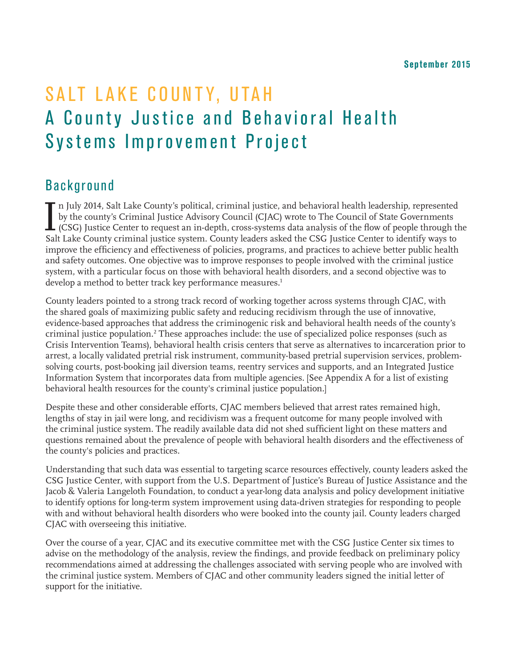# SALT LAKE COUNTY, UTAH A County Justice and Behavioral Health Systems Improvement Project

## Background

 $\prod_{\varsigma_{ab}}$ n July 2014, Salt Lake County's political, criminal justice, and behavioral health leadership, represented by the county's Criminal Justice Advisory Council (CJAC) wrote to The Council of State Governments (CSG) Justice Center to request an in-depth, cross-systems data analysis of the flow of people through the Salt Lake County criminal justice system. County leaders asked the CSG Justice Center to identify ways to improve the efficiency and effectiveness of policies, programs, and practices to achieve better public health and safety outcomes. One objective was to improve responses to people involved with the criminal justice system, with a particular focus on those with behavioral health disorders, and a second objective was to develop a method to better track key performance measures.<sup>1</sup>

County leaders pointed to a strong track record of working together across systems through CJAC, with the shared goals of maximizing public safety and reducing recidivism through the use of innovative, evidence-based approaches that address the criminogenic risk and behavioral health needs of the county's criminal justice population.<sup>2</sup> These approaches include: the use of specialized police responses (such as Crisis Intervention Teams), behavioral health crisis centers that serve as alternatives to incarceration prior to arrest, a locally validated pretrial risk instrument, community-based pretrial supervision services, problemsolving courts, post-booking jail diversion teams, reentry services and supports, and an Integrated Justice Information System that incorporates data from multiple agencies. [See Appendix A for a list of existing behavioral health resources for the county's criminal justice population.]

Despite these and other considerable efforts, CJAC members believed that arrest rates remained high, lengths of stay in jail were long, and recidivism was a frequent outcome for many people involved with the criminal justice system. The readily available data did not shed sufficient light on these matters and questions remained about the prevalence of people with behavioral health disorders and the effectiveness of the county's policies and practices.

Understanding that such data was essential to targeting scarce resources effectively, county leaders asked the CSG Justice Center, with support from the U.S. Department of Justice's Bureau of Justice Assistance and the Jacob & Valeria Langeloth Foundation, to conduct a year-long data analysis and policy development initiative to identify options for long-term system improvement using data-driven strategies for responding to people with and without behavioral health disorders who were booked into the county jail. County leaders charged CJAC with overseeing this initiative.

Over the course of a year, CJAC and its executive committee met with the CSG Justice Center six times to advise on the methodology of the analysis, review the findings, and provide feedback on preliminary policy recommendations aimed at addressing the challenges associated with serving people who are involved with the criminal justice system. Members of CJAC and other community leaders signed the initial letter of support for the initiative.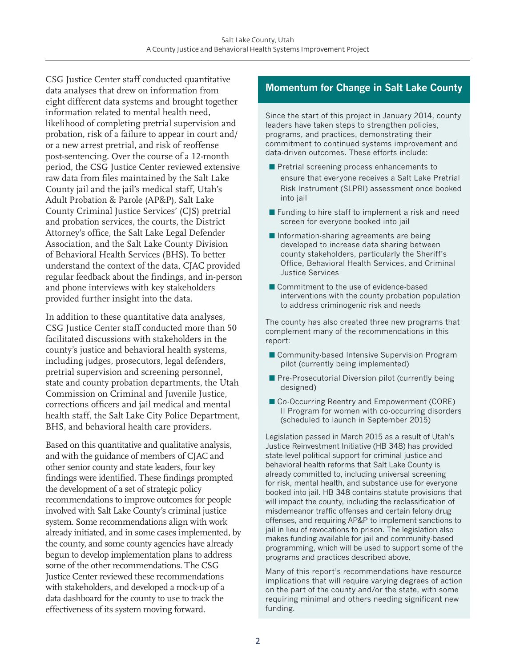CSG Justice Center staff conducted quantitative data analyses that drew on information from eight different data systems and brought together information related to mental health need, likelihood of completing pretrial supervision and probation, risk of a failure to appear in court and/ or a new arrest pretrial, and risk of reoffense post-sentencing. Over the course of a 12-month period, the CSG Justice Center reviewed extensive raw data from files maintained by the Salt Lake County jail and the jail's medical staff, Utah's Adult Probation & Parole (AP&P), Salt Lake County Criminal Justice Services' (CJS) pretrial and probation services, the courts, the District Attorney's office, the Salt Lake Legal Defender Association, and the Salt Lake County Division of Behavioral Health Services (BHS). To better understand the context of the data, CJAC provided regular feedback about the findings, and in-person and phone interviews with key stakeholders provided further insight into the data.

In addition to these quantitative data analyses, CSG Justice Center staff conducted more than 50 facilitated discussions with stakeholders in the county's justice and behavioral health systems, including judges, prosecutors, legal defenders, pretrial supervision and screening personnel, state and county probation departments, the Utah Commission on Criminal and Juvenile Justice, corrections officers and jail medical and mental health staff, the Salt Lake City Police Department, BHS, and behavioral health care providers.

Based on this quantitative and qualitative analysis, and with the guidance of members of CJAC and other senior county and state leaders, four key findings were identified. These findings prompted the development of a set of strategic policy recommendations to improve outcomes for people involved with Salt Lake County's criminal justice system. Some recommendations align with work already initiated, and in some cases implemented, by the county, and some county agencies have already begun to develop implementation plans to address some of the other recommendations. The CSG Justice Center reviewed these recommendations with stakeholders, and developed a mock-up of a data dashboard for the county to use to track the effectiveness of its system moving forward.

#### **Momentum for Change in Salt Lake County**

Since the start of this project in January 2014, county leaders have taken steps to strengthen policies, programs, and practices, demonstrating their commitment to continued systems improvement and data-driven outcomes. These efforts include:

- $\blacksquare$  Pretrial screening process enhancements to ensure that everyone receives a Salt Lake Pretrial Risk Instrument (SLPRI) assessment once booked into jail
- $\blacksquare$  Funding to hire staff to implement a risk and need screen for everyone booked into jail
- $\blacksquare$  Information-sharing agreements are being developed to increase data sharing between county stakeholders, particularly the Sheriff's Office, Behavioral Health Services, and Criminal Justice Services
- Commitment to the use of evidence-based interventions with the county probation population to address criminogenic risk and needs

The county has also created three new programs that complement many of the recommendations in this report:

- Community-based Intensive Supervision Program pilot (currently being implemented)
- $\blacksquare$  Pre-Prosecutorial Diversion pilot (currently being designed)
- Co-Occurring Reentry and Empowerment (CORE) II Program for women with co-occurring disorders (scheduled to launch in September 2015)

Legislation passed in March 2015 as a result of Utah's Justice Reinvestment Initiative (HB 348) has provided state-level political support for criminal justice and behavioral health reforms that Salt Lake County is already committed to, including universal screening for risk, mental health, and substance use for everyone booked into jail. HB 348 contains statute provisions that will impact the county, including the reclassification of misdemeanor traffic offenses and certain felony drug offenses, and requiring AP&P to implement sanctions to jail in lieu of revocations to prison. The legislation also makes funding available for jail and community-based programming, which will be used to support some of the programs and practices described above.

Many of this report's recommendations have resource implications that will require varying degrees of action on the part of the county and/or the state, with some requiring minimal and others needing significant new funding.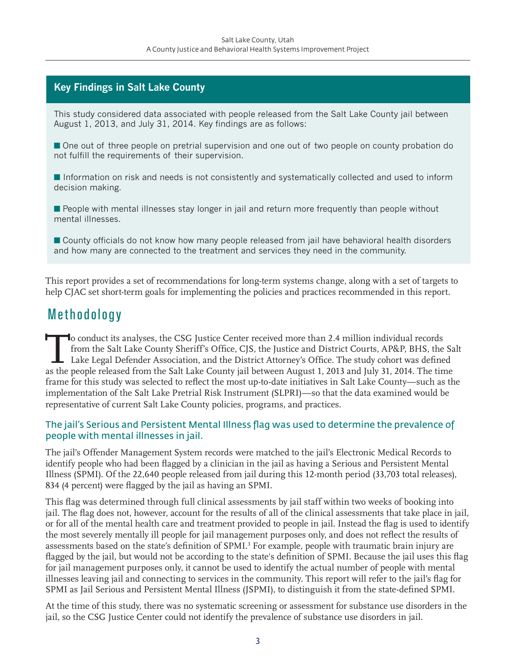#### **Key Findings in Salt Lake County**

This study considered data associated with people released from the Salt Lake County jail between August 1, 2013, and July 31, 2014. Key findings are as follows:

**n** One out of three people on pretrial supervision and one out of two people on county probation do not fulfill the requirements of their supervision.

**n** Information on risk and needs is not consistently and systematically collected and used to inform decision making.

**n** People with mental illnesses stay longer in jail and return more frequently than people without mental illnesses.

■ County officials do not know how many people released from jail have behavioral health disorders and how many are connected to the treatment and services they need in the community.

This report provides a set of recommendations for long-term systems change, along with a set of targets to help CJAC set short-term goals for implementing the policies and practices recommended in this report.

### Methodology

To conduct its analyses, the CSG Justice Center received more than 2.4 million individual records<br>from the Salt Lake County Sheriff's Office, CJS, the Justice and District Courts, AP&P, BHS, the<br>Lake Legal Defender Associa from the Salt Lake County Sheriff's Office, CJS, the Justice and District Courts, AP&P, BHS, the Salt Lake Legal Defender Association, and the District Attorney's Office. The study cohort was defined as the people released from the Salt Lake County jail between August 1, 2013 and July 31, 2014. The time frame for this study was selected to reflect the most up-to-date initiatives in Salt Lake County—such as the implementation of the Salt Lake Pretrial Risk Instrument (SLPRI)—so that the data examined would be representative of current Salt Lake County policies, programs, and practices.

#### The jail's Serious and Persistent Mental Illness flag was used to determine the prevalence of people with mental illnesses in jail.

The jail's Offender Management System records were matched to the jail's Electronic Medical Records to identify people who had been flagged by a clinician in the jail as having a Serious and Persistent Mental Illness (SPMI). Of the 22,640 people released from jail during this 12-month period (33,703 total releases), 834 (4 percent) were flagged by the jail as having an SPMI.

This flag was determined through full clinical assessments by jail staff within two weeks of booking into jail. The flag does not, however, account for the results of all of the clinical assessments that take place in jail, or for all of the mental health care and treatment provided to people in jail. Instead the flag is used to identify the most severely mentally ill people for jail management purposes only, and does not reflect the results of assessments based on the state's definition of SPMI.<sup>3</sup> For example, people with traumatic brain injury are flagged by the jail, but would not be according to the state's definition of SPMI. Because the jail uses this flag for jail management purposes only, it cannot be used to identify the actual number of people with mental illnesses leaving jail and connecting to services in the community. This report will refer to the jail's flag for SPMI as Jail Serious and Persistent Mental Illness (JSPMI), to distinguish it from the state-defined SPMI.

At the time of this study, there was no systematic screening or assessment for substance use disorders in the jail, so the CSG Justice Center could not identify the prevalence of substance use disorders in jail.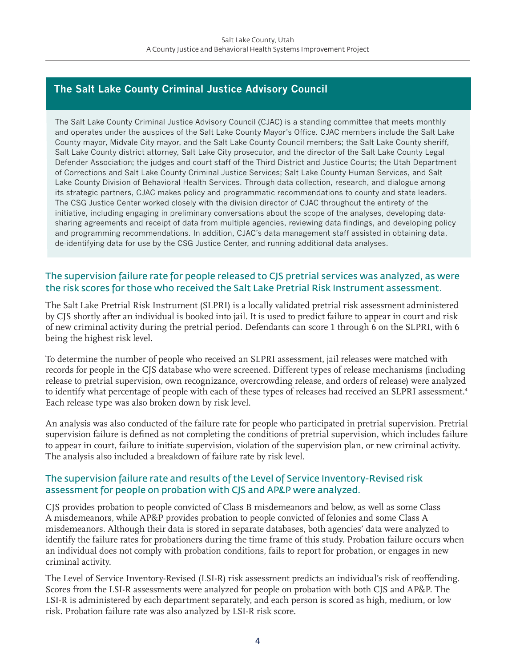#### **The Salt Lake County Criminal Justice Advisory Council**

The Salt Lake County Criminal Justice Advisory Council (CJAC) is a standing committee that meets monthly and operates under the auspices of the Salt Lake County Mayor's Office. CJAC members include the Salt Lake County mayor, Midvale City mayor, and the Salt Lake County Council members; the Salt Lake County sheriff, Salt Lake County district attorney, Salt Lake City prosecutor, and the director of the Salt Lake County Legal Defender Association; the judges and court staff of the Third District and Justice Courts; the Utah Department of Corrections and Salt Lake County Criminal Justice Services; Salt Lake County Human Services, and Salt Lake County Division of Behavioral Health Services. Through data collection, research, and dialogue among its strategic partners, CJAC makes policy and programmatic recommendations to county and state leaders. The CSG Justice Center worked closely with the division director of CJAC throughout the entirety of the initiative, including engaging in preliminary conversations about the scope of the analyses, developing datasharing agreements and receipt of data from multiple agencies, reviewing data findings, and developing policy and programming recommendations. In addition, CJAC's data management staff assisted in obtaining data, de-identifying data for use by the CSG Justice Center, and running additional data analyses.

#### The supervision failure rate for people released to CJS pretrial services was analyzed, as were the risk scores for those who received the Salt Lake Pretrial Risk Instrument assessment.

The Salt Lake Pretrial Risk Instrument (SLPRI) is a locally validated pretrial risk assessment administered by CJS shortly after an individual is booked into jail. It is used to predict failure to appear in court and risk of new criminal activity during the pretrial period. Defendants can score 1 through 6 on the SLPRI, with 6 being the highest risk level.

To determine the number of people who received an SLPRI assessment, jail releases were matched with records for people in the CJS database who were screened. Different types of release mechanisms (including release to pretrial supervision, own recognizance, overcrowding release, and orders of release) were analyzed to identify what percentage of people with each of these types of releases had received an SLPRI assessment.<sup>4</sup> Each release type was also broken down by risk level.

An analysis was also conducted of the failure rate for people who participated in pretrial supervision. Pretrial supervision failure is defined as not completing the conditions of pretrial supervision, which includes failure to appear in court, failure to initiate supervision, violation of the supervision plan, or new criminal activity. The analysis also included a breakdown of failure rate by risk level.

#### The supervision failure rate and results of the Level of Service Inventory-Revised risk assessment for people on probation with CJS and AP&P were analyzed.

CJS provides probation to people convicted of Class B misdemeanors and below, as well as some Class A misdemeanors, while AP&P provides probation to people convicted of felonies and some Class A misdemeanors. Although their data is stored in separate databases, both agencies' data were analyzed to identify the failure rates for probationers during the time frame of this study. Probation failure occurs when an individual does not comply with probation conditions, fails to report for probation, or engages in new criminal activity.

The Level of Service Inventory-Revised (LSI-R) risk assessment predicts an individual's risk of reoffending. Scores from the LSI-R assessments were analyzed for people on probation with both CJS and AP&P. The LSI-R is administered by each department separately, and each person is scored as high, medium, or low risk. Probation failure rate was also analyzed by LSI-R risk score.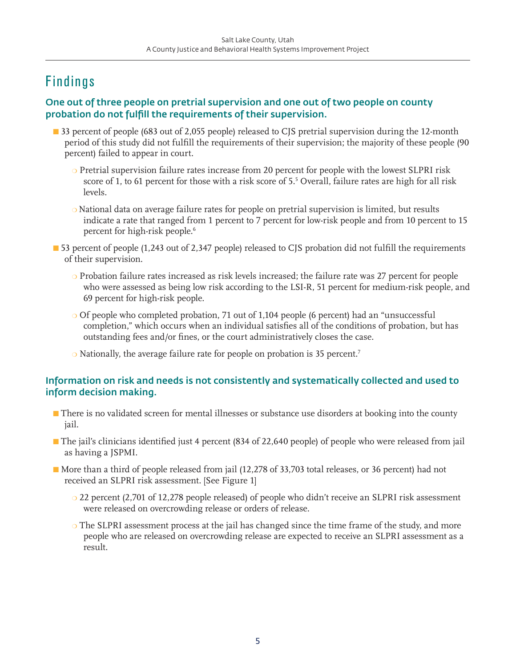# Findings

#### One out of three people on pretrial supervision and one out of two people on county probation do not fulfill the requirements of their supervision.

- **n** 33 percent of people (683 out of 2,055 people) released to CJS pretrial supervision during the 12-month period of this study did not fulfill the requirements of their supervision; the majority of these people (90 percent) failed to appear in court.
	- $\circ$  Pretrial supervision failure rates increase from 20 percent for people with the lowest SLPRI risk score of 1, to 61 percent for those with a risk score of 5.<sup>5</sup> Overall, failure rates are high for all risk levels.
	- $\circ$  National data on average failure rates for people on pretrial supervision is limited, but results indicate a rate that ranged from 1 percent to 7 percent for low-risk people and from 10 percent to 15 percent for high-risk people.<sup>6</sup>
- 53 percent of people (1,243 out of 2,347 people) released to CJS probation did not fulfill the requirements of their supervision.
	- $\circ$  Probation failure rates increased as risk levels increased; the failure rate was 27 percent for people who were assessed as being low risk according to the LSI-R, 51 percent for medium-risk people, and 69 percent for high-risk people.
	- Of people who completed probation, 71 out of 1,104 people (6 percent) had an "unsuccessful completion," which occurs when an individual satisfies all of the conditions of probation, but has outstanding fees and/or fines, or the court administratively closes the case.
	- $\circ$  Nationally, the average failure rate for people on probation is 35 percent.<sup>7</sup>

#### Information on risk and needs is not consistently and systematically collected and used to inform decision making.

- **n** There is no validated screen for mental illnesses or substance use disorders at booking into the county jail.
- n The jail's clinicians identified just 4 percent (834 of 22,640 people) of people who were released from jail as having a JSPMI.
- n More than a third of people released from jail (12,278 of 33,703 total releases, or 36 percent) had not received an SLPRI risk assessment. [See Figure 1]
	- $\circ$  22 percent (2,701 of 12,278 people released) of people who didn't receive an SLPRI risk assessment were released on overcrowding release or orders of release.
	- $\circ$  The SLPRI assessment process at the jail has changed since the time frame of the study, and more people who are released on overcrowding release are expected to receive an SLPRI assessment as a result.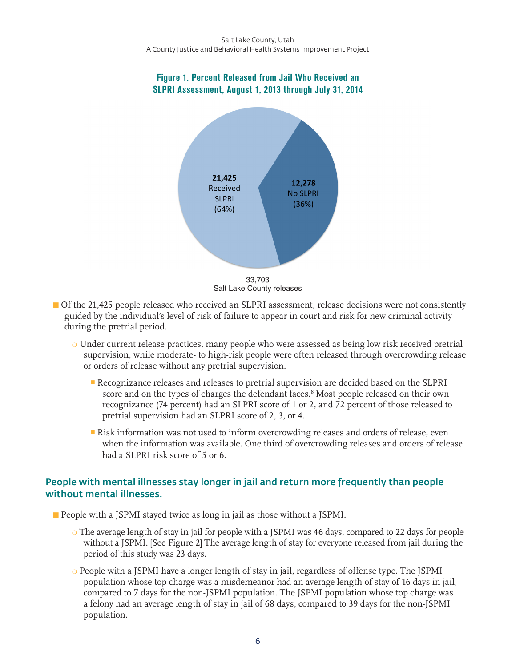#### Figure 1. Percent Released from Jail Who Received an SLPRI Assessment, August 1, 2013 through July 31, 2014



- **Of** the 21,425 people released who received an SLPRI assessment, release decisions were not consistently guided by the individual's level of risk of failure to appear in court and risk for new criminal activity during the pretrial period.
	- $\circ$  Under current release practices, many people who were assessed as being low risk received pretrial supervision, while moderate- to high-risk people were often released through overcrowding release or orders of release without any pretrial supervision.
		- **-** Recognizance releases and releases to pretrial supervision are decided based on the SLPRI score and on the types of charges the defendant faces.<sup>8</sup> Most people released on their own recognizance (74 percent) had an SLPRI score of 1 or 2, and 72 percent of those released to pretrial supervision had an SLPRI score of 2, 3, or 4.
		- <sup>n</sup> Risk information was not used to inform overcrowding releases and orders of release, even when the information was available. One third of overcrowding releases and orders of release had a SLPRI risk score of 5 or 6.

#### People with mental illnesses stay longer in jail and return more frequently than people without mental illnesses.

- **n** People with a JSPMI stayed twice as long in jail as those without a JSPMI.
	- $\circ$  The average length of stay in jail for people with a JSPMI was 46 days, compared to 22 days for people without a JSPMI. [See Figure 2] The average length of stay for everyone released from jail during the period of this study was 23 days.
	- $\circ$  People with a JSPMI have a longer length of stay in jail, regardless of offense type. The JSPMI population whose top charge was a misdemeanor had an average length of stay of 16 days in jail, compared to 7 days for the non-JSPMI population. The JSPMI population whose top charge was a felony had an average length of stay in jail of 68 days, compared to 39 days for the non-JSPMI population.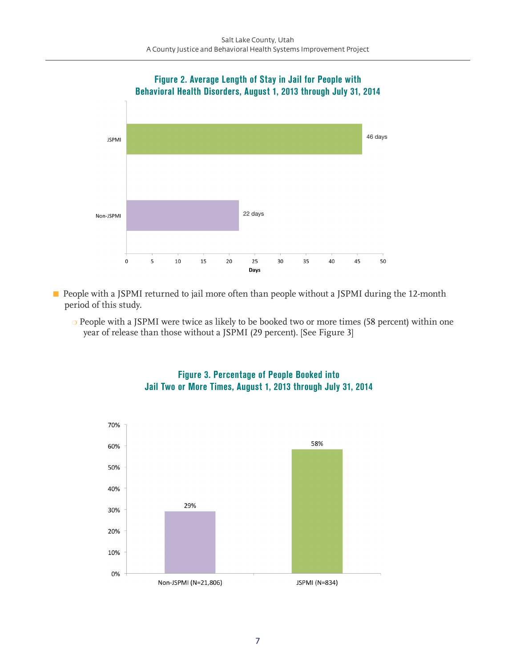

**n** People with a JSPMI returned to jail more often than people without a JSPMI during the 12-month period of this study.

o People with a JSPMI were twice as likely to be booked two or more times (58 percent) within one year of release than those without a JSPMI (29 percent). [See Figure 3]



Figure 3. Percentage of People Booked into Jail Two or More Times, August 1, 2013 through July 31, 2014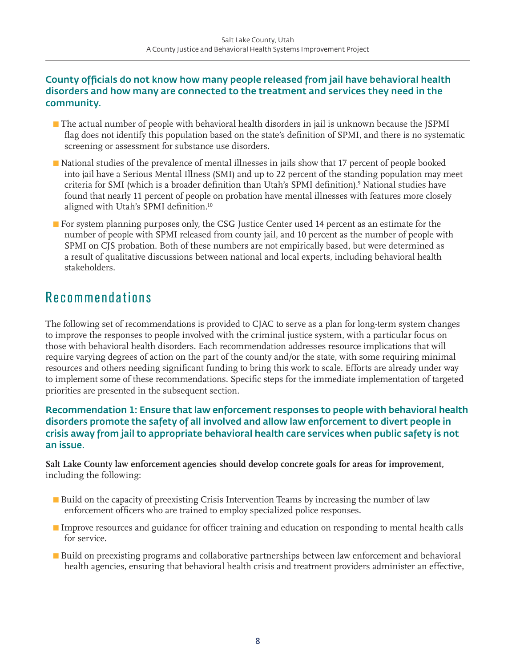#### County officials do not know how many people released from jail have behavioral health disorders and how many are connected to the treatment and services they need in the community.

- **n** The actual number of people with behavioral health disorders in jail is unknown because the JSPMI flag does not identify this population based on the state's definition of SPMI, and there is no systematic screening or assessment for substance use disorders.
- n National studies of the prevalence of mental illnesses in jails show that 17 percent of people booked into jail have a Serious Mental Illness (SMI) and up to 22 percent of the standing population may meet criteria for SMI (which is a broader definition than Utah's SPMI definition).9 National studies have found that nearly 11 percent of people on probation have mental illnesses with features more closely aligned with Utah's SPMI definition.<sup>10</sup>
- **n** For system planning purposes only, the CSG Justice Center used 14 percent as an estimate for the number of people with SPMI released from county jail, and 10 percent as the number of people with SPMI on CJS probation. Both of these numbers are not empirically based, but were determined as a result of qualitative discussions between national and local experts, including behavioral health stakeholders.

### Recommendations

The following set of recommendations is provided to CJAC to serve as a plan for long-term system changes to improve the responses to people involved with the criminal justice system, with a particular focus on those with behavioral health disorders. Each recommendation addresses resource implications that will require varying degrees of action on the part of the county and/or the state, with some requiring minimal resources and others needing significant funding to bring this work to scale. Efforts are already under way to implement some of these recommendations. Specific steps for the immediate implementation of targeted priorities are presented in the subsequent section.

#### Recommendation 1: Ensure that law enforcement responses to people with behavioral health disorders promote the safety of all involved and allow law enforcement to divert people in crisis away from jail to appropriate behavioral health care services when public safety is not an issue.

**Salt Lake County law enforcement agencies should develop concrete goals for areas for improvement,**  including the following:

- Build on the capacity of preexisting Crisis Intervention Teams by increasing the number of law enforcement officers who are trained to employ specialized police responses.
- Improve resources and guidance for officer training and education on responding to mental health calls for service.
- Build on preexisting programs and collaborative partnerships between law enforcement and behavioral health agencies, ensuring that behavioral health crisis and treatment providers administer an effective,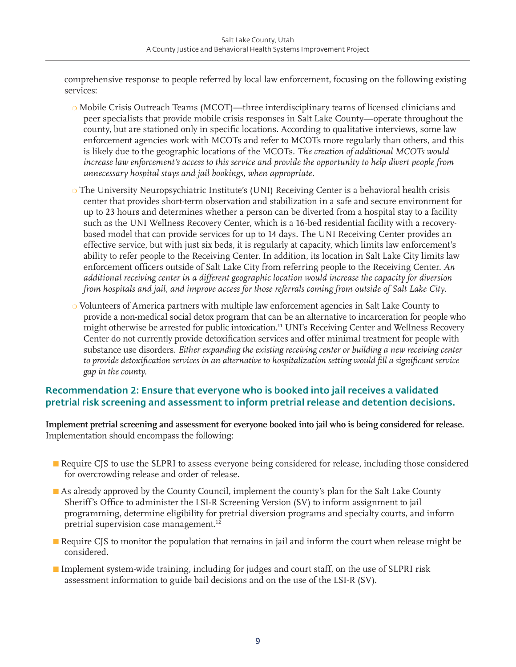comprehensive response to people referred by local law enforcement, focusing on the following existing services:

- $\circ$  Mobile Crisis Outreach Teams (MCOT)—three interdisciplinary teams of licensed clinicians and peer specialists that provide mobile crisis responses in Salt Lake County—operate throughout the county, but are stationed only in specific locations. According to qualitative interviews, some law enforcement agencies work with MCOTs and refer to MCOTs more regularly than others, and this is likely due to the geographic locations of the MCOTs. *The creation of additional MCOTs would increase law enforcement's access to this service and provide the opportunity to help divert people from unnecessary hospital stays and jail bookings, when appropriate.*
- o The University Neuropsychiatric Institute's (UNI) Receiving Center is a behavioral health crisis center that provides short-term observation and stabilization in a safe and secure environment for up to 23 hours and determines whether a person can be diverted from a hospital stay to a facility such as the UNI Wellness Recovery Center, which is a 16-bed residential facility with a recoverybased model that can provide services for up to 14 days. The UNI Receiving Center provides an effective service, but with just six beds, it is regularly at capacity, which limits law enforcement's ability to refer people to the Receiving Center. In addition, its location in Salt Lake City limits law enforcement officers outside of Salt Lake City from referring people to the Receiving Center. *An additional receiving center in a different geographic location would increase the capacity for diversion from hospitals and jail, and improve access for those referrals coming from outside of Salt Lake City.*
- o Volunteers of America partners with multiple law enforcement agencies in Salt Lake County to provide a non-medical social detox program that can be an alternative to incarceration for people who might otherwise be arrested for public intoxication.<sup>11</sup> UNI's Receiving Center and Wellness Recovery Center do not currently provide detoxification services and offer minimal treatment for people with substance use disorders. *Either expanding the existing receiving center or building a new receiving center to provide detoxification services in an alternative to hospitalization setting would fill a significant service gap in the county.*

#### Recommendation 2: Ensure that everyone who is booked into jail receives a validated pretrial risk screening and assessment to inform pretrial release and detention decisions.

**Implement pretrial screening and assessment for everyone booked into jail who is being considered for release.**  Implementation should encompass the following:

- **n** Require CJS to use the SLPRI to assess everyone being considered for release, including those considered for overcrowding release and order of release.
- n As already approved by the County Council, implement the county's plan for the Salt Lake County Sheriff's Office to administer the LSI-R Screening Version (SV) to inform assignment to jail programming, determine eligibility for pretrial diversion programs and specialty courts, and inform pretrial supervision case management.<sup>12</sup>
- Require CJS to monitor the population that remains in jail and inform the court when release might be considered.
- **n** Implement system-wide training, including for judges and court staff, on the use of SLPRI risk assessment information to guide bail decisions and on the use of the LSI-R (SV).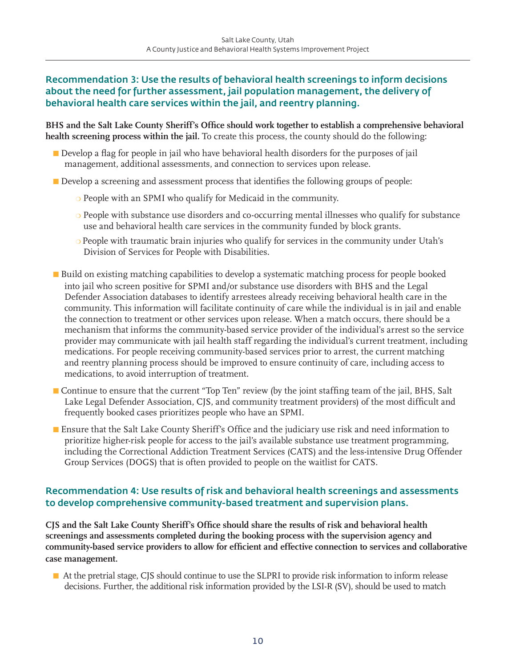#### Recommendation 3: Use the results of behavioral health screenings to inform decisions about the need for further assessment, jail population management, the delivery of behavioral health care services within the jail, and reentry planning.

**BHS and the Salt Lake County Sheriff's Office should work together to establish a comprehensive behavioral health screening process within the jail.** To create this process, the county should do the following:

- n Develop a flag for people in jail who have behavioral health disorders for the purposes of jail management, additional assessments, and connection to services upon release.
- **n** Develop a screening and assessment process that identifies the following groups of people:
	- $\circ$  People with an SPMI who qualify for Medicaid in the community.
	- $\circ$  People with substance use disorders and co-occurring mental illnesses who qualify for substance use and behavioral health care services in the community funded by block grants.
	- People with traumatic brain injuries who qualify for services in the community under Utah's Division of Services for People with Disabilities.
- Build on existing matching capabilities to develop a systematic matching process for people booked into jail who screen positive for SPMI and/or substance use disorders with BHS and the Legal Defender Association databases to identify arrestees already receiving behavioral health care in the community. This information will facilitate continuity of care while the individual is in jail and enable the connection to treatment or other services upon release. When a match occurs, there should be a mechanism that informs the community-based service provider of the individual's arrest so the service provider may communicate with jail health staff regarding the individual's current treatment, including medications. For people receiving community-based services prior to arrest, the current matching and reentry planning process should be improved to ensure continuity of care, including access to medications, to avoid interruption of treatment.
- **n** Continue to ensure that the current "Top Ten" review (by the joint staffing team of the jail, BHS, Salt Lake Legal Defender Association, CJS, and community treatment providers) of the most difficult and frequently booked cases prioritizes people who have an SPMI.
- **n** Ensure that the Salt Lake County Sheriff's Office and the judiciary use risk and need information to prioritize higher-risk people for access to the jail's available substance use treatment programming, including the Correctional Addiction Treatment Services (CATS) and the less-intensive Drug Offender Group Services (DOGS) that is often provided to people on the waitlist for CATS.

#### Recommendation 4: Use results of risk and behavioral health screenings and assessments to develop comprehensive community-based treatment and supervision plans.

**CJS and the Salt Lake County Sheriff's Office should share the results of risk and behavioral health screenings and assessments completed during the booking process with the supervision agency and community-based service providers to allow for efficient and effective connection to services and collaborative case management.** 

n At the pretrial stage, CJS should continue to use the SLPRI to provide risk information to inform release decisions. Further, the additional risk information provided by the LSI-R (SV), should be used to match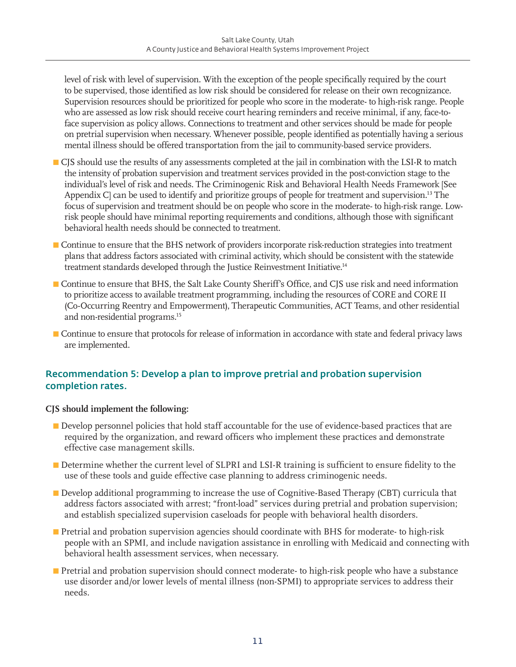level of risk with level of supervision. With the exception of the people specifically required by the court to be supervised, those identified as low risk should be considered for release on their own recognizance. Supervision resources should be prioritized for people who score in the moderate- to high-risk range. People who are assessed as low risk should receive court hearing reminders and receive minimal, if any, face-toface supervision as policy allows. Connections to treatment and other services should be made for people on pretrial supervision when necessary. Whenever possible, people identified as potentially having a serious mental illness should be offered transportation from the jail to community-based service providers.

- **n** CJS should use the results of any assessments completed at the jail in combination with the LSI-R to match the intensity of probation supervision and treatment services provided in the post-conviction stage to the individual's level of risk and needs. The Criminogenic Risk and Behavioral Health Needs Framework [See Appendix C] can be used to identify and prioritize groups of people for treatment and supervision.<sup>13</sup> The focus of supervision and treatment should be on people who score in the moderate- to high-risk range. Lowrisk people should have minimal reporting requirements and conditions, although those with significant behavioral health needs should be connected to treatment.
- Continue to ensure that the BHS network of providers incorporate risk-reduction strategies into treatment plans that address factors associated with criminal activity, which should be consistent with the statewide treatment standards developed through the Justice Reinvestment Initiative.<sup>14</sup>
- **n** Continue to ensure that BHS, the Salt Lake County Sheriff's Office, and CJS use risk and need information to prioritize access to available treatment programming, including the resources of CORE and CORE II (Co-Occurring Reentry and Empowerment), Therapeutic Communities, ACT Teams, and other residential and non-residential programs.<sup>15</sup>
- n Continue to ensure that protocols for release of information in accordance with state and federal privacy laws are implemented.

#### Recommendation 5: Develop a plan to improve pretrial and probation supervision completion rates.

#### **CJS should implement the following:**

- **n** Develop personnel policies that hold staff accountable for the use of evidence-based practices that are required by the organization, and reward officers who implement these practices and demonstrate effective case management skills.
- **n** Determine whether the current level of SLPRI and LSI-R training is sufficient to ensure fidelity to the use of these tools and guide effective case planning to address criminogenic needs.
- **n** Develop additional programming to increase the use of Cognitive-Based Therapy (CBT) curricula that address factors associated with arrest; "front-load" services during pretrial and probation supervision; and establish specialized supervision caseloads for people with behavioral health disorders.
- **n** Pretrial and probation supervision agencies should coordinate with BHS for moderate- to high-risk people with an SPMI, and include navigation assistance in enrolling with Medicaid and connecting with behavioral health assessment services, when necessary.
- **n** Pretrial and probation supervision should connect moderate- to high-risk people who have a substance use disorder and/or lower levels of mental illness (non-SPMI) to appropriate services to address their needs.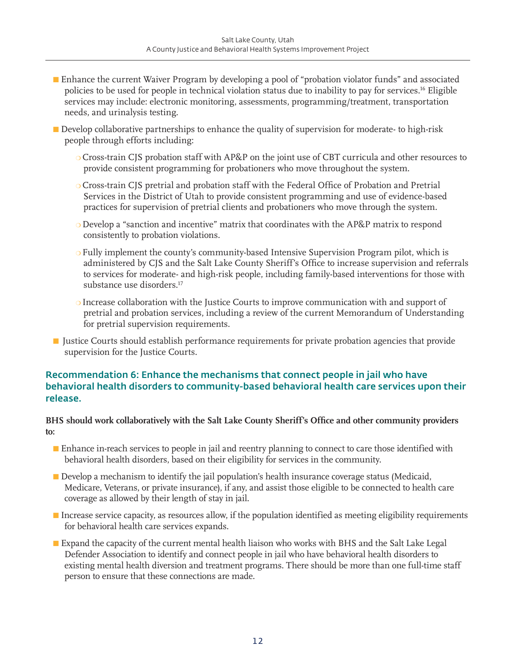- Enhance the current Waiver Program by developing a pool of "probation violator funds" and associated policies to be used for people in technical violation status due to inability to pay for services.16 Eligible services may include: electronic monitoring, assessments, programming/treatment, transportation needs, and urinalysis testing.
- Develop collaborative partnerships to enhance the quality of supervision for moderate- to high-risk people through efforts including:
	- o Cross-train CJS probation staff with AP&P on the joint use of CBT curricula and other resources to provide consistent programming for probationers who move throughout the system.
	- O Cross-train CJS pretrial and probation staff with the Federal Office of Probation and Pretrial Services in the District of Utah to provide consistent programming and use of evidence-based practices for supervision of pretrial clients and probationers who move through the system.
	- $\circ$  Develop a "sanction and incentive" matrix that coordinates with the AP&P matrix to respond consistently to probation violations.
	- $\circ$  Fully implement the county's community-based Intensive Supervision Program pilot, which is administered by CJS and the Salt Lake County Sheriff's Office to increase supervision and referrals to services for moderate- and high-risk people, including family-based interventions for those with substance use disorders.<sup>17</sup>
	- $\circ$  Increase collaboration with the Justice Courts to improve communication with and support of pretrial and probation services, including a review of the current Memorandum of Understanding for pretrial supervision requirements.
- **n** Justice Courts should establish performance requirements for private probation agencies that provide supervision for the Justice Courts.

#### Recommendation 6: Enhance the mechanisms that connect people in jail who have behavioral health disorders to community-based behavioral health care services upon their release.

#### **BHS should work collaboratively with the Salt Lake County Sheriff's Office and other community providers to:**

- **n** Enhance in-reach services to people in jail and reentry planning to connect to care those identified with behavioral health disorders, based on their eligibility for services in the community.
- **n** Develop a mechanism to identify the jail population's health insurance coverage status (Medicaid, Medicare, Veterans, or private insurance), if any, and assist those eligible to be connected to health care coverage as allowed by their length of stay in jail.
- n Increase service capacity, as resources allow, if the population identified as meeting eligibility requirements for behavioral health care services expands.
- **Expand the capacity of the current mental health liaison who works with BHS and the Salt Lake Legal** Defender Association to identify and connect people in jail who have behavioral health disorders to existing mental health diversion and treatment programs. There should be more than one full-time staff person to ensure that these connections are made.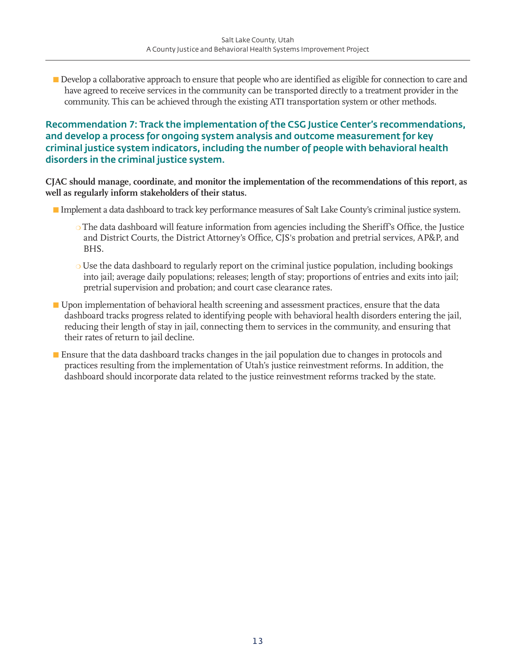**n** Develop a collaborative approach to ensure that people who are identified as eligible for connection to care and have agreed to receive services in the community can be transported directly to a treatment provider in the community. This can be achieved through the existing ATI transportation system or other methods.

Recommendation 7: Track the implementation of the CSG Justice Center's recommendations, and develop a process for ongoing system analysis and outcome measurement for key criminal justice system indicators, including the number of people with behavioral health disorders in the criminal justice system.

**CJAC should manage, coordinate, and monitor the implementation of the recommendations of this report, as well as regularly inform stakeholders of their status.** 

- n Implement a data dashboard to track key performance measures of Salt Lake County's criminal justice system.
	- $\circ$  The data dashboard will feature information from agencies including the Sheriff's Office, the Justice and District Courts, the District Attorney's Office, CJS's probation and pretrial services, AP&P, and BHS.
	- $\circ$  Use the data dashboard to regularly report on the criminal justice population, including bookings into jail; average daily populations; releases; length of stay; proportions of entries and exits into jail; pretrial supervision and probation; and court case clearance rates.
- Upon implementation of behavioral health screening and assessment practices, ensure that the data dashboard tracks progress related to identifying people with behavioral health disorders entering the jail, reducing their length of stay in jail, connecting them to services in the community, and ensuring that their rates of return to jail decline.
- **n** Ensure that the data dashboard tracks changes in the jail population due to changes in protocols and practices resulting from the implementation of Utah's justice reinvestment reforms. In addition, the dashboard should incorporate data related to the justice reinvestment reforms tracked by the state.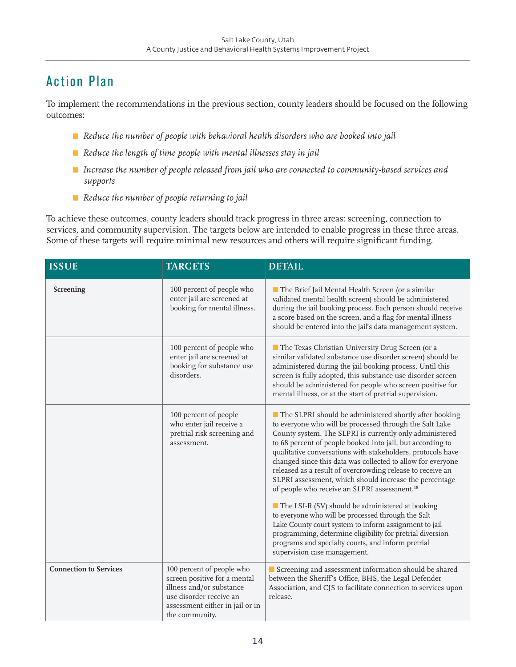# Action Plan

To implement the recommendations in the previous section, county leaders should be focused on the following outcomes:

- *Reduce the number of people with behavioral health disorders who are booked into jail*
- *Reduce the length of time people with mental illnesses stay in jail*
- *Increase the number of people released from jail who are connected to community-based services and supports*
- *Reduce the number of people returning to jail*

To achieve these outcomes, county leaders should track progress in three areas: screening, connection to services, and community supervision. The targets below are intended to enable progress in these three areas. Some of these targets will require minimal new resources and others will require significant funding.

| <b>ISSUE</b>                  | <b>TARGETS</b>                                                                                                                                                        | <b>DETAIL</b>                                                                                                                                                                                                                                                                                                                                                                                                                                                                                                                                                                                                                                                                                                                                                                                                                                                                      |  |
|-------------------------------|-----------------------------------------------------------------------------------------------------------------------------------------------------------------------|------------------------------------------------------------------------------------------------------------------------------------------------------------------------------------------------------------------------------------------------------------------------------------------------------------------------------------------------------------------------------------------------------------------------------------------------------------------------------------------------------------------------------------------------------------------------------------------------------------------------------------------------------------------------------------------------------------------------------------------------------------------------------------------------------------------------------------------------------------------------------------|--|
| Screening                     | 100 percent of people who<br>enter jail are screened at<br>booking for mental illness.                                                                                | The Brief Jail Mental Health Screen (or a similar<br>validated mental health screen) should be administered<br>during the jail booking process. Each person should receive<br>a score based on the screen, and a flag for mental illness<br>should be entered into the jail's data management system.                                                                                                                                                                                                                                                                                                                                                                                                                                                                                                                                                                              |  |
|                               | 100 percent of people who<br>enter jail are screened at<br>booking for substance use<br>disorders.                                                                    | The Texas Christian University Drug Screen (or a<br>similar validated substance use disorder screen) should be<br>administered during the jail booking process. Until this<br>screen is fully adopted, this substance use disorder screen<br>should be administered for people who screen positive for<br>mental illness, or at the start of pretrial supervision.                                                                                                                                                                                                                                                                                                                                                                                                                                                                                                                 |  |
|                               | 100 percent of people<br>who enter jail receive a<br>pretrial risk screening and<br>assessment.                                                                       | The SLPRI should be administered shortly after booking<br>to everyone who will be processed through the Salt Lake<br>County system. The SLPRI is currently only administered<br>to 68 percent of people booked into jail, but according to<br>qualitative conversations with stakeholders, protocols have<br>changed since this data was collected to allow for everyone<br>released as a result of overcrowding release to receive an<br>SLPRI assessment, which should increase the percentage<br>of people who receive an SLPRI assessment. <sup>18</sup><br>The LSI-R (SV) should be administered at booking<br>to everyone who will be processed through the Salt<br>Lake County court system to inform assignment to jail<br>programming, determine eligibility for pretrial diversion<br>programs and specialty courts, and inform pretrial<br>supervision case management. |  |
| <b>Connection to Services</b> | 100 percent of people who<br>screen positive for a mental<br>illness and/or substance<br>use disorder receive an<br>assessment either in jail or in<br>the community. | Screening and assessment information should be shared<br>between the Sheriff's Office, BHS, the Legal Defender<br>Association, and CJS to facilitate connection to services upon<br>release.                                                                                                                                                                                                                                                                                                                                                                                                                                                                                                                                                                                                                                                                                       |  |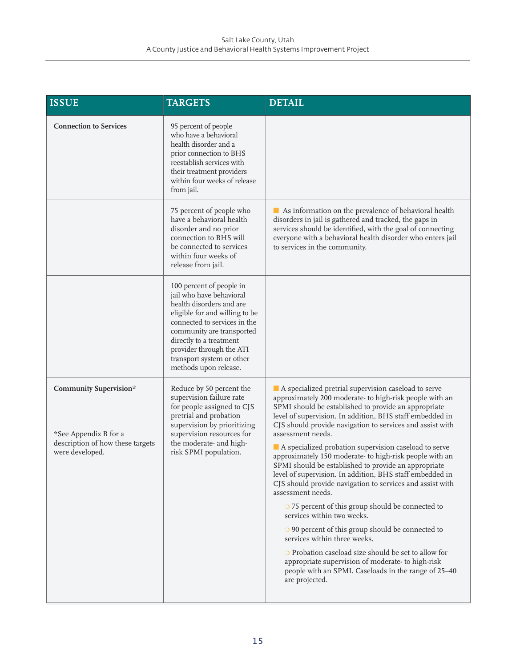| <b>ISSUE</b>                                                                                                  | <b>TARGETS</b>                                                                                                                                                                                                                                                                               | <b>DETAIL</b>                                                                                                                                                                                                                                                                                                                                                                                                                                                                                                                                                                                                                                                                                                                                                                                                                                                                                                                                                                                                        |
|---------------------------------------------------------------------------------------------------------------|----------------------------------------------------------------------------------------------------------------------------------------------------------------------------------------------------------------------------------------------------------------------------------------------|----------------------------------------------------------------------------------------------------------------------------------------------------------------------------------------------------------------------------------------------------------------------------------------------------------------------------------------------------------------------------------------------------------------------------------------------------------------------------------------------------------------------------------------------------------------------------------------------------------------------------------------------------------------------------------------------------------------------------------------------------------------------------------------------------------------------------------------------------------------------------------------------------------------------------------------------------------------------------------------------------------------------|
| <b>Connection to Services</b>                                                                                 | 95 percent of people<br>who have a behavioral<br>health disorder and a<br>prior connection to BHS<br>reestablish services with<br>their treatment providers<br>within four weeks of release<br>from jail.                                                                                    |                                                                                                                                                                                                                                                                                                                                                                                                                                                                                                                                                                                                                                                                                                                                                                                                                                                                                                                                                                                                                      |
|                                                                                                               | 75 percent of people who<br>have a behavioral health<br>disorder and no prior<br>connection to BHS will<br>be connected to services<br>within four weeks of<br>release from jail.                                                                                                            | As information on the prevalence of behavioral health<br>disorders in jail is gathered and tracked, the gaps in<br>services should be identified, with the goal of connecting<br>everyone with a behavioral health disorder who enters jail<br>to services in the community.                                                                                                                                                                                                                                                                                                                                                                                                                                                                                                                                                                                                                                                                                                                                         |
|                                                                                                               | 100 percent of people in<br>jail who have behavioral<br>health disorders and are<br>eligible for and willing to be<br>connected to services in the<br>community are transported<br>directly to a treatment<br>provider through the ATI<br>transport system or other<br>methods upon release. |                                                                                                                                                                                                                                                                                                                                                                                                                                                                                                                                                                                                                                                                                                                                                                                                                                                                                                                                                                                                                      |
| <b>Community Supervision*</b><br>*See Appendix B for a<br>description of how these targets<br>were developed. | Reduce by 50 percent the<br>supervision failure rate<br>for people assigned to CJS<br>pretrial and probation<br>supervision by prioritizing<br>supervision resources for<br>the moderate- and high-<br>risk SPMI population.                                                                 | A specialized pretrial supervision caseload to serve<br>approximately 200 moderate- to high-risk people with an<br>SPMI should be established to provide an appropriate<br>level of supervision. In addition, BHS staff embedded in<br>CJS should provide navigation to services and assist with<br>assessment needs.<br>A specialized probation supervision caseload to serve<br>approximately 150 moderate- to high-risk people with an<br>SPMI should be established to provide an appropriate<br>level of supervision. In addition, BHS staff embedded in<br>CJS should provide navigation to services and assist with<br>assessment needs.<br>O 75 percent of this group should be connected to<br>services within two weeks.<br>$\circ$ 90 percent of this group should be connected to<br>services within three weeks.<br>O Probation caseload size should be set to allow for<br>appropriate supervision of moderate- to high-risk<br>people with an SPMI. Caseloads in the range of 25-40<br>are projected. |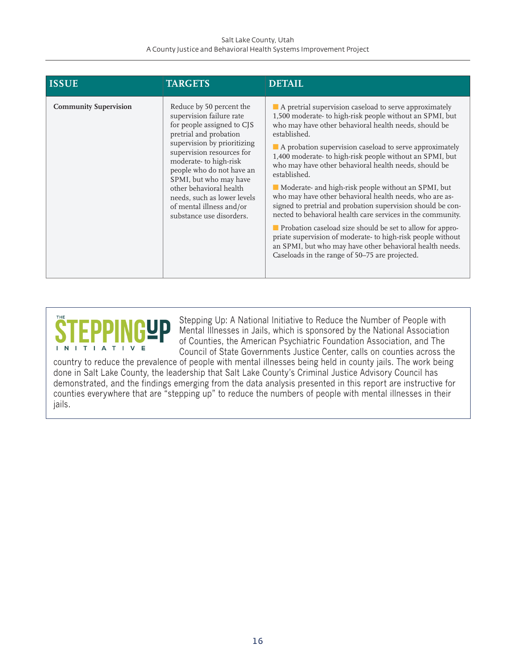#### Salt Lake County, Utah A County Justice and Behavioral Health Systems Improvement Project

| <b>ISSUE</b>                 | <b>TARGETS</b>                                                                                                                                                                                                                                                                                                                                                              | <b>DETAIL</b>                                                                                                                                                                                                                                                                                                                                                                                                                                                                                                                                                                                                                                                                                                                                                                                                                                                                                               |
|------------------------------|-----------------------------------------------------------------------------------------------------------------------------------------------------------------------------------------------------------------------------------------------------------------------------------------------------------------------------------------------------------------------------|-------------------------------------------------------------------------------------------------------------------------------------------------------------------------------------------------------------------------------------------------------------------------------------------------------------------------------------------------------------------------------------------------------------------------------------------------------------------------------------------------------------------------------------------------------------------------------------------------------------------------------------------------------------------------------------------------------------------------------------------------------------------------------------------------------------------------------------------------------------------------------------------------------------|
| <b>Community Supervision</b> | Reduce by 50 percent the<br>supervision failure rate<br>for people assigned to CJS<br>pretrial and probation<br>supervision by prioritizing<br>supervision resources for<br>moderate- to high-risk<br>people who do not have an<br>SPMI, but who may have<br>other behavioral health<br>needs, such as lower levels<br>of mental illness and/or<br>substance use disorders. | A pretrial supervision caseload to serve approximately<br>1,500 moderate- to high-risk people without an SPMI, but<br>who may have other behavioral health needs, should be<br>established.<br>$\blacksquare$ A probation supervision caseload to serve approximately<br>1,400 moderate- to high-risk people without an SPMI, but<br>who may have other behavioral health needs, should be<br>established.<br>Moderate- and high-risk people without an SPMI, but<br>who may have other behavioral health needs, who are as-<br>signed to pretrial and probation supervision should be con-<br>nected to behavioral health care services in the community.<br><b>Probation caseload size should be set to allow for appro-</b><br>priate supervision of moderate- to high-risk people without<br>an SPMI, but who may have other behavioral health needs.<br>Caseloads in the range of 50-75 are projected. |



Stepping Up: A National Initiative to Reduce the Number of People with Mental Illnesses in Jails, which is sponsored by the National Association of Counties, the American Psychiatric Foundation Association, and The Council of State Governments Justice Center, calls on counties across the

country to reduce the prevalence of people with mental illnesses being held in county jails. The work being done in Salt Lake County, the leadership that Salt Lake County's Criminal Justice Advisory Council has demonstrated, and the findings emerging from the data analysis presented in this report are instructive for counties everywhere that are "stepping up" to reduce the numbers of people with mental illnesses in their jails.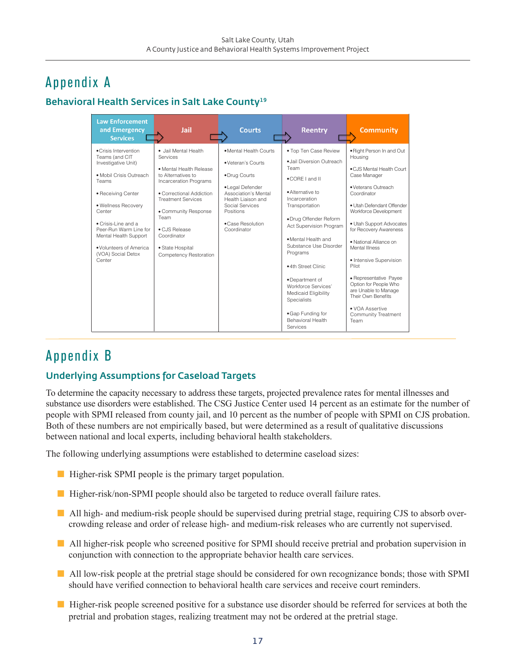# Appendix A

#### Behavioral Health Services in Salt Lake County<sup>19</sup>

| <b>Law Enforcement</b><br>and Emergency<br><b>Services</b>                                                                                                                                                                                                                                     | Jail                                                                                                                                                                                                                                                                               | <b>Courts</b>                                                                                                                                                                                      | <b>Reentry</b>                                                                                                                                                                                                                                                                                                                                                                                                               | <b>Community</b>                                                                                                                                                                                                                                                                                                                                                                                                                                                       |
|------------------------------------------------------------------------------------------------------------------------------------------------------------------------------------------------------------------------------------------------------------------------------------------------|------------------------------------------------------------------------------------------------------------------------------------------------------------------------------------------------------------------------------------------------------------------------------------|----------------------------------------------------------------------------------------------------------------------------------------------------------------------------------------------------|------------------------------------------------------------------------------------------------------------------------------------------------------------------------------------------------------------------------------------------------------------------------------------------------------------------------------------------------------------------------------------------------------------------------------|------------------------------------------------------------------------------------------------------------------------------------------------------------------------------------------------------------------------------------------------------------------------------------------------------------------------------------------------------------------------------------------------------------------------------------------------------------------------|
| • Crisis Intervention<br>Teams (and CIT<br>Investigative Unit)<br>· Mobil Crisis Outreach<br>Teams<br>• Receiving Center<br>· Wellness Recovery<br>Center<br>• Crisis-Line and a<br>Peer-Run Warm Line for<br>Mental Health Support<br>. Volunteers of America<br>(VOA) Social Detox<br>Center | · Jail Mental Health<br>Services<br>• Mental Health Release<br>to Alternatives to<br>Incarceration Programs<br>• Correctional Addiction<br><b>Treatment Services</b><br>• Community Response<br>Team<br>· CJS Release<br>Coordinator<br>• State Hospital<br>Competency Restoration | · Mental Health Courts<br>• Veteran's Courts<br>•Drug Courts<br>• Legal Defender<br>Association's Mental<br>Health Liaison and<br>Social Services<br>Positions<br>• Case Resolution<br>Coordinator | . Top Ten Case Review<br>.Jail Diversion Outreach<br>Team<br>.CORF Land II<br>· Alternative to<br>Incarceration<br>Transportation<br>·Drug Offender Reform<br>Act Supervision Program<br>· Mental Health and<br>Substance Use Disorder<br>Programs<br>.4th Street Clinic<br>•Department of<br>Workforce Services'<br>Medicaid Eligibility<br><b>Specialists</b><br>• Gap Funding for<br><b>Behavioral Health</b><br>Services | . Right Person In and Out<br>Housing<br>. CJS Mental Health Court<br>Case Manager<br>· Veterans Outreach<br>Coordinator<br>• Utah Defendant Offender<br>Workforce Development<br>• Utah Support Advocates<br>for Recovery Awareness<br>· National Alliance on<br>Mental Illness<br>• Intensive Supervision<br>Pilot<br>· Representative Payee<br>Option for People Who<br>are Unable to Manage<br>Their Own Benefits<br>• VOA Assertive<br>Community Treatment<br>Team |

## Appendix B

#### Underlying Assumptions for Caseload Targets

To determine the capacity necessary to address these targets, projected prevalence rates for mental illnesses and substance use disorders were established. The CSG Justice Center used 14 percent as an estimate for the number of people with SPMI released from county jail, and 10 percent as the number of people with SPMI on CJS probation. Both of these numbers are not empirically based, but were determined as a result of qualitative discussions between national and local experts, including behavioral health stakeholders.

The following underlying assumptions were established to determine caseload sizes:

- $\blacksquare$  Higher-risk SPMI people is the primary target population.
- Higher-risk/non-SPMI people should also be targeted to reduce overall failure rates.
- n All high- and medium-risk people should be supervised during pretrial stage, requiring CJS to absorb overcrowding release and order of release high- and medium-risk releases who are currently not supervised.
- **n** All higher-risk people who screened positive for SPMI should receive pretrial and probation supervision in conjunction with connection to the appropriate behavior health care services.
- n All low-risk people at the pretrial stage should be considered for own recognizance bonds; those with SPMI should have verified connection to behavioral health care services and receive court reminders.
- Higher-risk people screened positive for a substance use disorder should be referred for services at both the pretrial and probation stages, realizing treatment may not be ordered at the pretrial stage.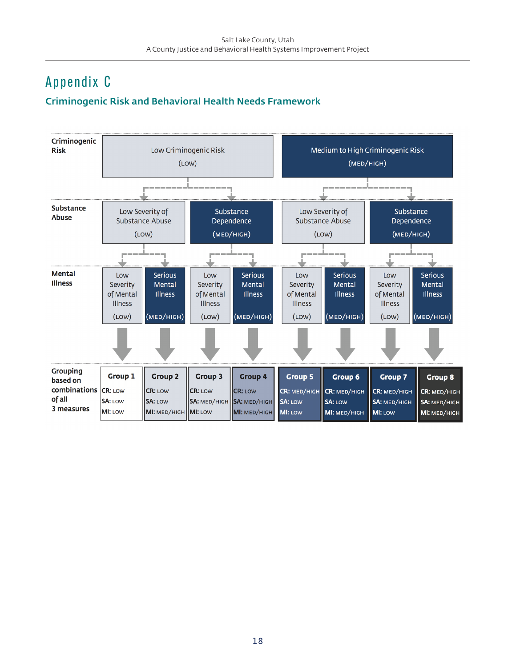# Appendix C

#### Criminogenic Risk and Behavioral Health Needs Framework

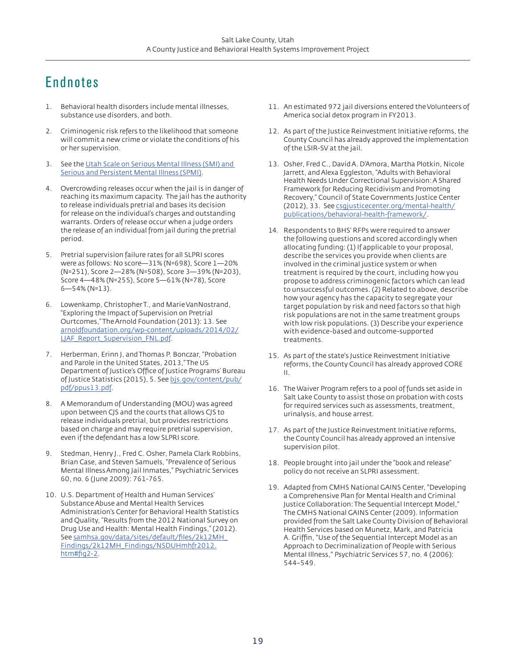# Endnotes

- 1. Behavioral health disorders include mental illnesses, substance use disorders, and both.
- 2. Criminogenic risk refers to the likelihood that someone will commit a new crime or violate the conditions of his or her supervision.
- 3. See the [Utah Scale on Serious Mental Illness \(SMI\) and](http://dsamh.utah.gov/pdf/SMI-SPMI%20Form%20revised%202014-5-29%20FINAL%20(1).pdf)  [Serious and Persistent Mental Illness \(SPMI\)](http://dsamh.utah.gov/pdf/SMI-SPMI%20Form%20revised%202014-5-29%20FINAL%20(1).pdf).
- 4. Overcrowding releases occur when the jail is in danger of reaching its maximum capacity. The jail has the authority to release individuals pretrial and bases its decision for release on the individual's charges and outstanding warrants. Orders of release occur when a judge orders the release of an individual from jail during the pretrial period.
- 5. Pretrial supervision failure rates for all SLPRI scores were as follows: No score—31% (N=698), Score 1—20% (N=251), Score 2—28% (N=508), Score 3—39% (N=203), Score 4—48% (N=255), Score 5—61% (N=78), Score 6—54% (N=13).
- 6. Lowenkamp, Christopher T., and Marie VanNostrand, "Exploring the Impact of Supervision on Pretrial Ourtcomes," The Arnold Foundation (2013): 13. See [arnoldfoundation.org/wp-content/uploads/2014/02/](http://www.arnoldfoundation.org/wp-content/uploads/2014/02/LJAF_Report_Supervision_FNL.pdf) [LJAF\\_Report\\_Supervision\\_FNL.pdf](http://www.arnoldfoundation.org/wp-content/uploads/2014/02/LJAF_Report_Supervision_FNL.pdf).
- 7. Herberman, Erinn J, and Thomas P. Bonczar, "Probation and Parole in the United States, 2013," The US Department of Justice's Office of Justice Programs' Bureau of Justice Statistics (2015), 5. See [bjs.gov/content/pub/](http://www.bjs.gov/content/pub/pdf/ppus13.pdf) [pdf/ppus13.pdf.](http://www.bjs.gov/content/pub/pdf/ppus13.pdf)
- 8. A Memorandum of Understanding (MOU) was agreed upon between CJS and the courts that allows CJS to release individuals pretrial, but provides restrictions based on charge and may require pretrial supervision, even if the defendant has a low SLPRI score.
- 9. Stedman, Henry J., Fred C. Osher, Pamela Clark Robbins, Brian Case, and Steven Samuels, "Prevalence of Serious Mental Illness Among Jail Inmates," Psychiatric Services 60, no. 6 (June 2009): 761-765.
- 10. U.S. Department of Health and Human Services' Substance Abuse and Mental Health Services Administration's Center for Behavioral Health Statistics and Quality, "Results from the 2012 National Survey on Drug Use and Health: Mental Health Findings," (2012). See [samhsa.gov/data/sites/default/files/2k12MH\\_](http://www.samhsa.gov/data/sites/default/files/2k12MH_Findings/2k12MH_Findings/NSDUHmhfr2012.htm#fig2-2) [Findings/2k12MH\\_Findings/NSDUHmhfr2012.](http://www.samhsa.gov/data/sites/default/files/2k12MH_Findings/2k12MH_Findings/NSDUHmhfr2012.htm#fig2-2) [htm#fig2-2](http://www.samhsa.gov/data/sites/default/files/2k12MH_Findings/2k12MH_Findings/NSDUHmhfr2012.htm#fig2-2).
- 11. An estimated 972 jail diversions entered the Volunteers of America social detox program in FY2013.
- 12. As part of the Justice Reinvestment Initiative reforms, the County Council has already approved the implementation of the LSIR-SV at the jail.
- 13. Osher, Fred C., David A. D'Amora, Martha Plotkin, Nicole Jarrett, and Alexa Eggleston, "Adults with Behavioral Health Needs Under Correctional Supervision: A Shared Framework for Reducing Recidivism and Promoting Recovery," Council of State Governments Justice Center (2012), 33. See [csgjusticecenter.org/mental-health/](http://csgjusticecenter.org/mental-health/publications/behavioral-health-framework/) [publications/behavioral-health-framework/](http://csgjusticecenter.org/mental-health/publications/behavioral-health-framework/).
- 14. Respondents to BHS' RFPs were required to answer the following questions and scored accordingly when allocating funding: (1) If applicable to your proposal, describe the services you provide when clients are involved in the criminal justice system or when treatment is required by the court, including how you propose to address criminogenic factors which can lead to unsuccessful outcomes. (2) Related to above, describe how your agency has the capacity to segregate your target population by risk and need factors so that high risk populations are not in the same treatment groups with low risk populations. (3) Describe your experience with evidence-based and outcome-supported treatments.
- 15. As part of the state's Justice Reinvestment Initiative reforms, the County Council has already approved CORE II.
- 16. The Waiver Program refers to a pool of funds set aside in Salt Lake County to assist those on probation with costs for required services such as assessments, treatment, urinalysis, and house arrest.
- 17. As part of the Justice Reinvestment Initiative reforms, the County Council has already approved an intensive supervision pilot.
- 18. People brought into jail under the "book and release" policy do not receive an SLPRI assessment.
- 19. Adapted from CMHS National GAINS Center, "Developing a Comprehensive Plan for Mental Health and Criminal Justice Collaboration: The Sequential Intercept Model," The CMHS National GAINS Center (2009). Information provided from the Salt Lake County Division of Behavioral Health Services based on Munetz, Mark, and Patricia A. Griffin, "Use of the Sequential Intercept Model as an Approach to Decriminalization of People with Serious Mental Illness," Psychiatric Services 57, no. 4 (2006): 544–549.